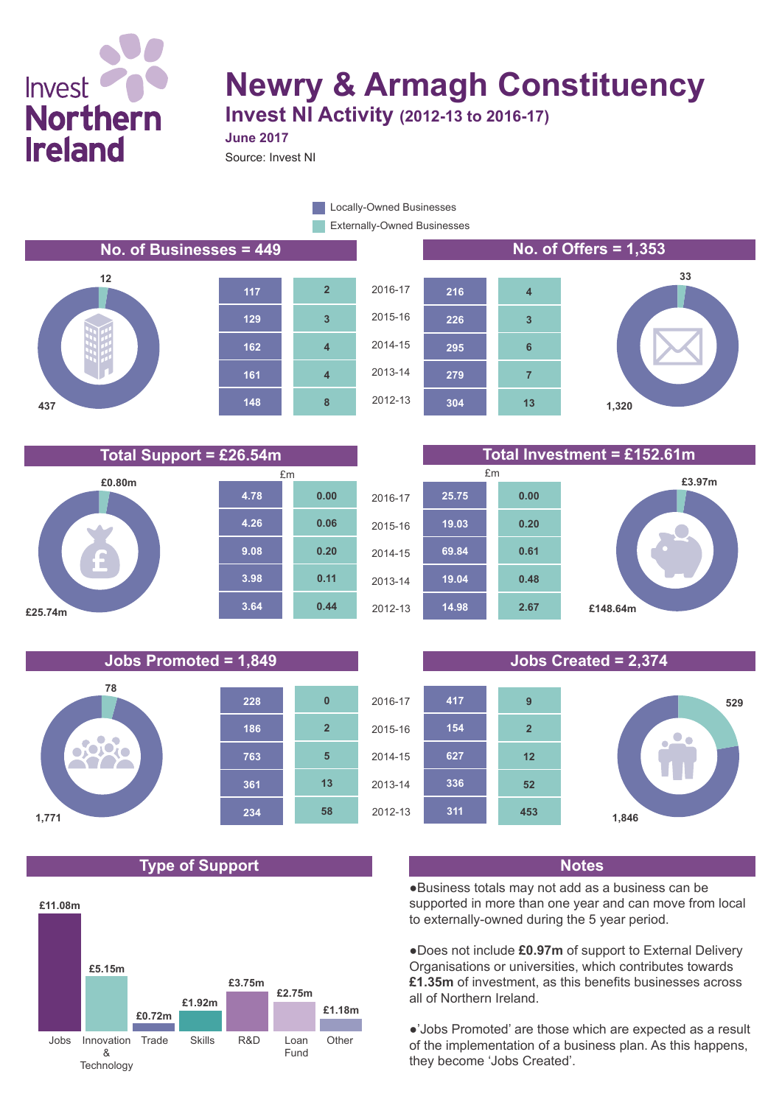

# **Newry & Armagh Constituency Invest NI Activity (2012-13 to 2016-17)**

**June 2017**

Source: Invest NI

**8**

**4**

**4**

**3**

**2**

Externally-Owned Businesses **Locally-Owned Businesses** 

**No. of Businesses = 449 No. of Offers = 1,353**









#### **Total Support = £26.54m Total Investment = £152.61m £3.97m 25.75 0.00**



### **Jobs Promoted = 1,849 Jobs Created = 2,374**



# **Type of Support Notes**





●Business totals may not add as a business can be supported in more than one year and can move from local to externally-owned during the 5 year period.

●Does not include **£0.97m** of support to External Delivery Organisations or universities, which contributes towards **£1.35m** of investment, as this benefits businesses across all of Northern Ireland.

●'Jobs Promoted' are those which are expected as a result of the implementation of a business plan. As this happens, they become 'Jobs Created'.